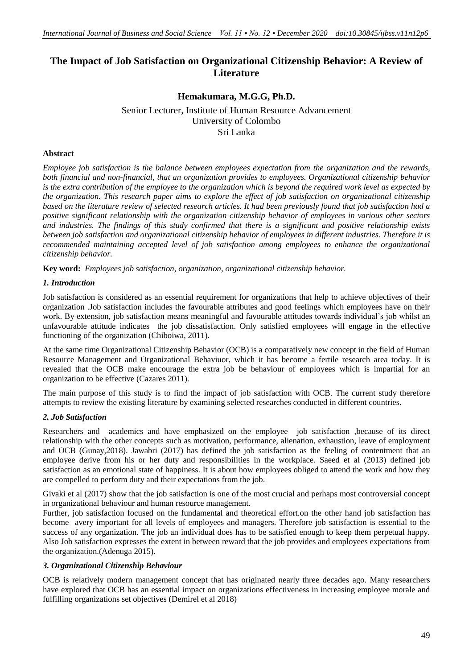# **The Impact of Job Satisfaction on Organizational Citizenship Behavior: A Review of Literature**

# **Hemakumara, M.G.G, Ph.D.**

Senior Lecturer, Institute of Human Resource Advancement University of Colombo Sri Lanka

### **Abstract**

*Employee job satisfaction is the balance between employees expectation from the organization and the rewards, both financial and non-financial, that an organization provides to employees. Organizational citizenship behavior is the extra contribution of the employee to the organization which is beyond the required work level as expected by the organization. This research paper aims to explore the effect of job satisfaction on organizational citizenship based on the literature review of selected research articles. It had been previously found that job satisfaction had a positive significant relationship with the organization citizenship behavior of employees in various other sectors and industries. The findings of this study confirmed that there is a significant and positive relationship exists between job satisfaction and organizational citizenship behavior of employees in different industries. Therefore it is recommended maintaining accepted level of job satisfaction among employees to enhance the organizational citizenship behavior.*

**Key word:** *Employees job satisfaction, organization, organizational citizenship behavior.*

## *1. Introduction*

Job satisfaction is considered as an essential requirement for organizations that help to achieve objectives of their organization .Job satisfaction includes the favourable attributes and good feelings which employees have on their work. By extension, job satisfaction means meaningful and favourable attitudes towards individual's job whilst an unfavourable attitude indicates the job dissatisfaction. Only satisfied employees will engage in the effective functioning of the organization (Chiboiwa, 2011).

At the same time Organizational Citizenship Behavior (OCB) is a comparatively new concept in the field of Human Resource Management and Organizational Behaviuor, which it has become a fertile research area today. It is revealed that the OCB make encourage the extra job be behaviour of employees which is impartial for an organization to be effective (Cazares 2011).

The main purpose of this study is to find the impact of job satisfaction with OCB. The current study therefore attempts to review the existing literature by examining selected researches conducted in different countries.

#### *2. Job Satisfaction*

Researchers and academics and have emphasized on the employee job satisfaction ,because of its direct relationship with the other concepts such as motivation, performance, alienation, exhaustion, leave of employment and OCB (Gunay,2018). Jawabri (2017) has defined the job satisfaction as the feeling of contentment that an employee derive from his or her duty and responsibilities in the workplace. Saeed et al (2013) defined job satisfaction as an emotional state of happiness. It is about how employees obliged to attend the work and how they are compelled to perform duty and their expectations from the job.

Givaki et al (2017) show that the job satisfaction is one of the most crucial and perhaps most controversial concept in organizational behaviour and human resource management.

Further, job satisfaction focused on the fundamental and theoretical effort.on the other hand job satisfaction has become avery important for all levels of employees and managers. Therefore job satisfaction is essential to the success of any organization. The job an individual does has to be satisfied enough to keep them perpetual happy. Also Job satisfaction expresses the extent in between reward that the job provides and employees expectations from the organization.(Adenuga 2015).

#### *3. Organizational Citizenship Behaviour*

OCB is relatively modern management concept that has originated nearly three decades ago. Many researchers have explored that OCB has an essential impact on organizations effectiveness in increasing employee morale and fulfilling organizations set objectives (Demirel et al 2018)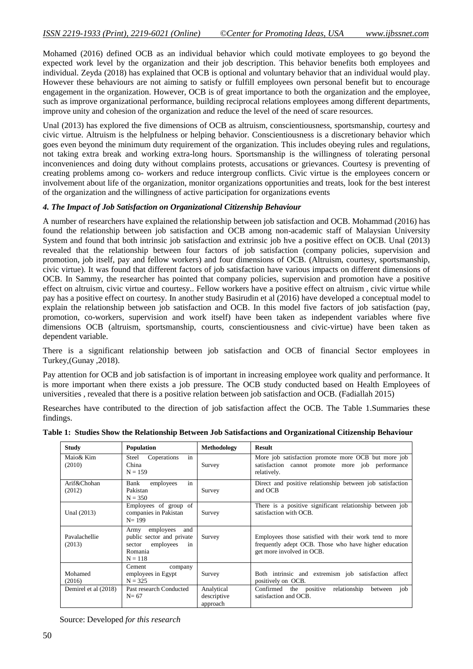Mohamed (2016) defined OCB as an individual behavior which could motivate employees to go beyond the expected work level by the organization and their job description. This behavior benefits both employees and individual. Zeyda (2018) has explained that OCB is optional and voluntary behavior that an individual would play. However these behaviours are not aiming to satisfy or fulfill employees own personal benefit but to encourage engagement in the organization. However, OCB is of great importance to both the organization and the employee, such as improve organizational performance, building reciprocal relations employees among different departments, improve unity and cohesion of the organization and reduce the level of the need of scare resources.

Unal (2013) has explored the five dimensions of OCB as altruism, conscientiousness, sportsmanship, courtesy and civic virtue. Altruism is the helpfulness or helping behavior. Conscientiousness is a discretionary behavior which goes even beyond the minimum duty requirement of the organization. This includes obeying rules and regulations, not taking extra break and working extra-long hours. Sportsmanship is the willingness of tolerating personal inconveniences and doing duty without complains protests, accusations or grievances. Courtesy is preventing of creating problems among co- workers and reduce intergroup conflicts. Civic virtue is the employees concern or involvement about life of the organization, monitor organizations opportunities and treats, look for the best interest of the organization and the willingness of active participation for organizations events

#### *4. The Impact of Job Satisfaction on Organizational Citizenship Behaviour*

A number of researchers have explained the relationship between job satisfaction and OCB. Mohammad (2016) has found the relationship between job satisfaction and OCB among non-academic staff of Malaysian University System and found that both intrinsic job satisfaction and extrinsic job hve a positive effect on OCB. Unal (2013) revealed that the relationship between four factors of job satisfaction (company policies, supervision and promotion, job itself, pay and fellow workers) and four dimensions of OCB. (Altruism, courtesy, sportsmanship, civic virtue). It was found that different factors of job satisfaction have various impacts on different dimensions of OCB. In Sammy, the researcher has pointed that company policies, supervision and promotion have a positive effect on altruism, civic virtue and courtesy.. Fellow workers have a positive effect on altruism , civic virtue while pay has a positive effect on courtesy. In another study Basirudin et al (2016) have developed a conceptual model to explain the relationship between job satisfaction and OCB. In this model five factors of job satisfaction (pay, promotion, co-workers, supervision and work itself) have been taken as independent variables where five dimensions OCB (altruism, sportsmanship, courts, conscientiousness and civic-virtue) have been taken as dependent variable.

There is a significant relationship between job satisfaction and OCB of financial Sector employees in Turkey,(Gunay ,2018).

Pay attention for OCB and job satisfaction is of important in increasing employee work quality and performance. It is more important when there exists a job pressure. The OCB study conducted based on Health Employees of universities , revealed that there is a positive relation between job satisfaction and OCB. (Fadiallah 2015)

Researches have contributed to the direction of job satisfaction affect the OCB. The Table 1.Summaries these findings.

| Study                   | <b>Population</b>                                                                                          | Methodology                           | <b>Result</b>                                                                                                                                |
|-------------------------|------------------------------------------------------------------------------------------------------------|---------------------------------------|----------------------------------------------------------------------------------------------------------------------------------------------|
| Maio& Kim<br>(2010)     | in<br>Steel<br>Coperations<br>China<br>$N = 159$                                                           | Survey                                | More job satisfaction promote more OCB but more job<br>satisfaction cannot promote more job performance<br>relatively.                       |
| Arif&Chohan<br>(2012)   | in<br>Bank<br>employees<br>Pakistan<br>$N = 350$                                                           | Survey                                | Direct and positive relationship between job satisfaction<br>and OCB                                                                         |
| Unal (2013)             | Employees of group of<br>companies in Pakistan<br>$N = 199$                                                | Survey                                | There is a positive significant relationship between job<br>satisfaction with OCB.                                                           |
| Pavalachellie<br>(2013) | and<br>employees<br>Army<br>public sector and private<br>employees<br>sector<br>in<br>Romania<br>$N = 118$ | Survey                                | Employees those satisfied with their work tend to more<br>frequently adept OCB. Those who have higher education<br>get more involved in OCB. |
| Mohamed<br>(2016)       | Cement<br>company<br>employees in Egypt<br>$N = 325$                                                       | Survey                                | Both intrinsic and extremism job satisfaction affect<br>positively on OCB.                                                                   |
| Demirel et al (2018)    | Past research Conducted<br>$N = 67$                                                                        | Analytical<br>descriptive<br>approach | Confirmed the positive<br>relationship<br>between<br>job<br>satisfaction and OCB.                                                            |

**Table 1: Studies Show the Relationship Between Job Satisfactions and Organizational Citizenship Behaviour**

Source: Developed *for this research*